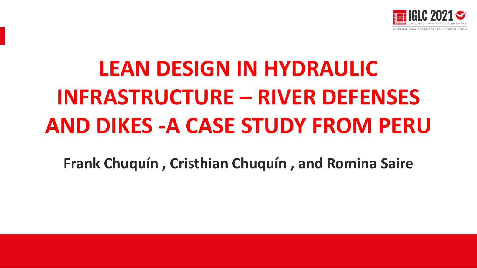

# **LEAN DESIGN IN HYDRAULIC INFRASTRUCTURE – RIVER DEFENSES AND DIKES -A CASE STUDY FROM PERU**

**Frank Chuquín , Cristhian Chuquín , and Romina Saire**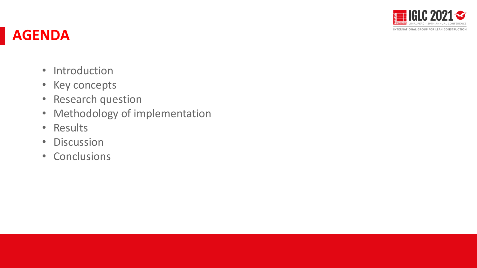

### **AGENDA**

- Introduction
- Key concepts
- Research question
- Methodology of implementation
- Results
- Discussion
- Conclusions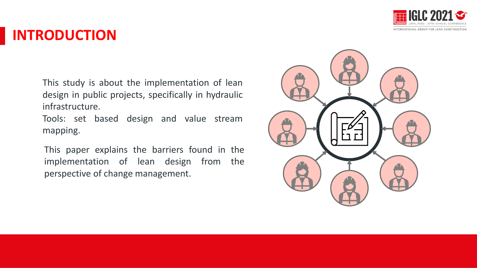

### **INTRODUCTION**

This study is about the implementation of lean design in public projects, specifically in hydraulic infrastructure.

Tools: set based design and value stream mapping.

This paper explains the barriers found in the implementation of lean design from the perspective of change management.

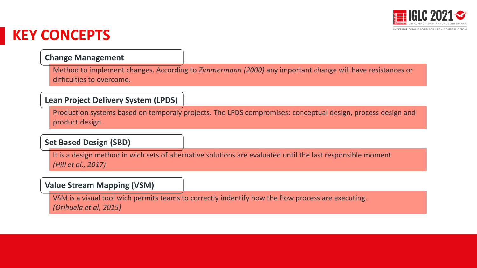

### **KEY CONCEPTS**

#### **Change Management**

Method to implement changes. According to *Zimmermann (2000)* any important change will have resistances or difficulties to overcome.

#### **Lean Project Delivery System (LPDS)**

Production systems based on temporaly projects. The LPDS compromises: conceptual design, process design and product design.

#### **Set Based Design (SBD)**

Presentación It is a design method in wich sets of alternative solutions are evaluated until the last responsible moment *(Hill et al., 2017)*

#### **Value Stream Mapping (VSM)**

VSM is a visual tool wich permits teams to correctly indentify how the flow process are executing. *(Orihuela et al, 2015)*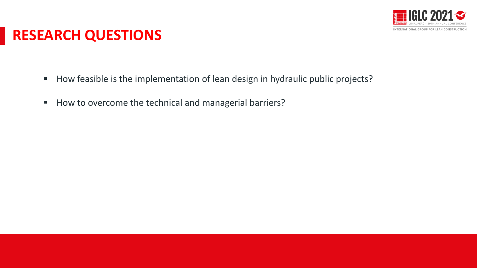

### **RESEARCH QUESTIONS**

- How feasible is the implementation of lean design in hydraulic public projects?
- How to overcome the technical and managerial barriers?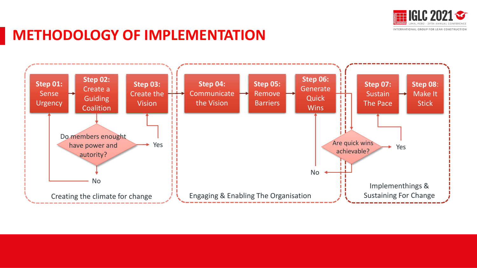

### **METHODOLOGY OF IMPLEMENTATION**

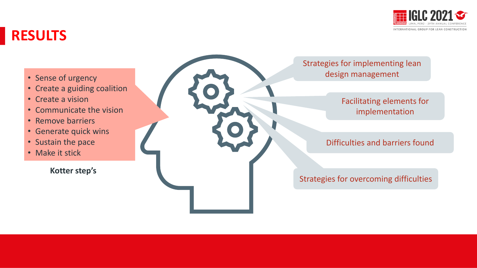

### **RESULTS**

- Sense of urgency
- Create a guiding coalition
- Create a vision
- Communicate the vision
- Remove barriers
- Generate quick wins
- Sustain the pace
- Make it stick

**Kotter step's**

Strategies for implementing lean design management

#### Facilitating elements for implementation

#### Difficulties and barriers found

#### Strategies for overcoming difficulties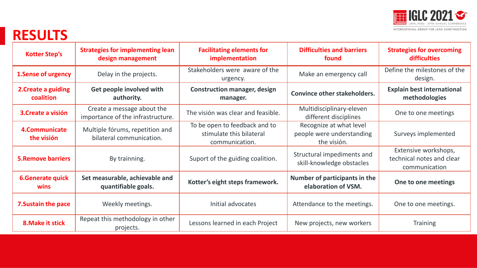

#### **RESULTS**

Ŧ

| <b>Kotter Step's</b>             | <b>Strategies for implementing lean</b><br>design management    | <b>Facilitating elements for</b><br>implementation                          | <b>Difficulties and barriers</b><br>found                           | <b>Strategies for overcoming</b><br><b>difficulties</b>            |
|----------------------------------|-----------------------------------------------------------------|-----------------------------------------------------------------------------|---------------------------------------------------------------------|--------------------------------------------------------------------|
| <b>1.Sense of urgency</b>        | Delay in the projects.                                          | Stakeholders were aware of the<br>urgency.                                  | Make an emergency call                                              | Define the milestones of the<br>design.                            |
| 2. Create a guiding<br>coalition | Get people involved with<br>authority.                          | <b>Construction manager, design</b><br>manager.                             | <b>Convince other stakeholders.</b>                                 | <b>Explain best international</b><br>methodologies                 |
| 3. Create a visión               | Create a message about the<br>importance of the infrastructure. | The visión was clear and feasible.                                          | Multidisciplinary-eleven<br>different disciplines                   | One to one meetings                                                |
| 4.Communicate<br>the visión      | Multiple fórums, repetition and<br>bilateral communication.     | To be open to feedback and to<br>stimulate this bilateral<br>communication. | Recognize at what level<br>people were understanding<br>the visión. | Surveys implemented                                                |
| <b>5. Remove barriers</b>        | By trainning.                                                   | Suport of the guiding coalition.                                            | Structural impediments and<br>skill-knowledge obstacles             | Extensive workshops,<br>technical notes and clear<br>communication |
| <b>6.Generate quick</b><br>wins  | Set measurable, achievable and<br>quantifiable goals.           | Kotter's eight steps framework.                                             | Number of participants in the<br>elaboration of VSM.                | One to one meetings                                                |
| <b>7. Sustain the pace</b>       | Weekly meetings.                                                | Initial advocates                                                           | Attendance to the meetings.                                         | One to one meetings.                                               |
| <b>8. Make it stick</b>          | Repeat this methodology in other<br>projects.                   | Lessons learned in each Project                                             | New projects, new workers                                           | <b>Training</b>                                                    |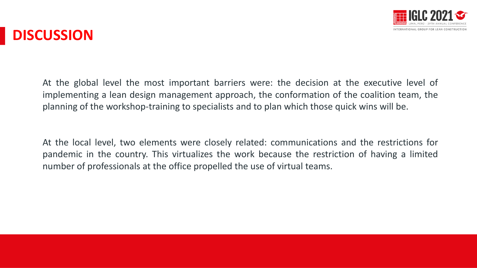

### **DISCUSSION**

At the global level the most important barriers were: the decision at the executive level of implementing a lean design management approach, the conformation of the coalition team, the planning of the workshop-training to specialists and to plan which those quick wins will be.

At the local level, two elements were closely related: communications and the restrictions for pandemic in the country. This virtualizes the work because the restriction of having a limited number of professionals at the office propelled the use of virtual teams.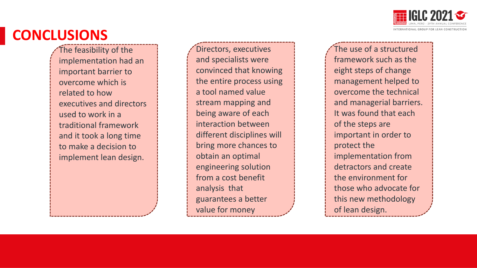### **CONCLUSIONS**

The feasibility of the implementation had an important barrier to overcome which is related to how executives and directors used to work in a traditional framework and it took a long time to make a decision to implement lean design.

Directors, executives and specialists were convinced that knowing the entire process using a tool named value stream mapping and being aware of each interaction between different disciplines will bring more chances to obtain an optimal engineering solution from a cost benefit analysis that guarantees a better value for money

The use of a structured framework such as the eight steps of change management helped to overcome the technical and managerial barriers. It was found that each of the steps are important in order to protect the implementation from detractors and create the environment for those who advocate for this new methodology of lean design.